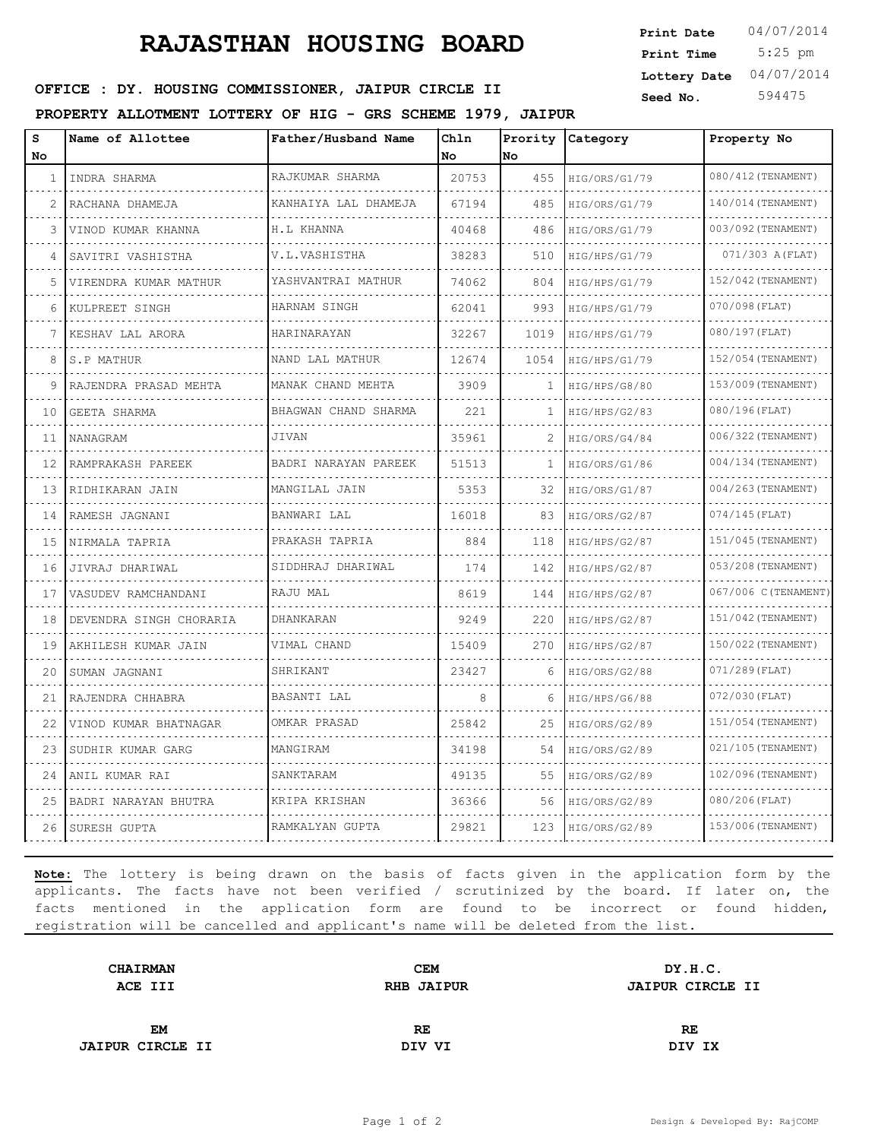# **RAJASTHAN HOUSING BOARD**

 5:25 pm **Print Date** 04/07/2014 **Print Time Lottery Date** 04/07/2014

## **OFFICE : DY. HOUSING COMMISSIONER, JAIPUR CIRCLE II** Seed No. 594475

**PROPERTY ALLOTMENT LOTTERY OF HIG - GRS SCHEME 1979, JAIPUR**

| S<br>No | Name of Allottee        | Father/Husband Name  | Chln<br>No | No   | Prority Category | Property No          |
|---------|-------------------------|----------------------|------------|------|------------------|----------------------|
| 1       | INDRA SHARMA            | RAJKUMAR SHARMA      | 20753      | 455  | HIG/ORS/G1/79    | 080/412 (TENAMENT)   |
| 2       | RACHANA DHAMEJA         | KANHAIYA LAL DHAMEJA | 67194      | 485  | HIG/ORS/G1/79    | 140/014 (TENAMENT)   |
| 3       | VINOD KUMAR KHANNA      | <b>H.L KHANNA</b>    | 40468      | 486  | HIG/ORS/G1/79    | 003/092 (TENAMENT)   |
| 4       | SAVITRI VASHISTHA       | V.L.VASHISTHA        | 38283      | 510  | HIG/HPS/G1/79    | 071/303 A (FLAT)     |
| 5       | VIRENDRA KUMAR MATHUR   | YASHVANTRAI MATHUR   | 74062      | 804  | HIG/HPS/G1/79    | 152/042 (TENAMENT)   |
| 6       | KULPREET SINGH          | HARNAM SINGH         | 62041      | 993  | HIG/HPS/G1/79    | 070/098 (FLAT)       |
| 7       | KESHAV LAL ARORA        | HARINARAYAN          | 32267      | 1019 | HIG/HPS/G1/79    | 080/197 (FLAT)       |
| 8       | IS.P MATHUR             | NAND LAL MATHUR      | 12674      | 1054 | HIG/HPS/G1/79    | 152/054 (TENAMENT)   |
| 9       | RAJENDRA PRASAD MEHTA   | MANAK CHAND MEHTA    | 3909       | 1    | HIG/HPS/G8/80    | 153/009 (TENAMENT)   |
| 10      | GEETA SHARMA            | BHAGWAN CHAND SHARMA | 221        | -1   | HIG/HPS/G2/83    | 080/196(FLAT)        |
| 11      | NANAGRAM                | JIVAN                | 35961      | 2    | HIG/ORS/G4/84    | 006/322 (TENAMENT)   |
| 12      | RAMPRAKASH PAREEK       | BADRI NARAYAN PAREEK | 51513      | -1   | HIG/ORS/G1/86    | 004/134 (TENAMENT)   |
| 13      | RIDHIKARAN JAIN         | MANGILAL JAIN        | 5353       | 32   | HIG/ORS/G1/87    | 004/263 (TENAMENT)   |
| 14      | RAMESH JAGNANI          | BANWARI LAL          | 16018      | 83   | HIG/ORS/G2/87    | $074/145$ (FLAT)     |
| 15      | NIRMALA TAPRIA          | PRAKASH TAPRIA       | 884        | 118  | HIG/HPS/G2/87    | 151/045 (TENAMENT)   |
| 16      | JIVRAJ DHARIWAL         | SIDDHRAJ DHARIWAL    | 174        | 142  | HIG/HPS/G2/87    | 053/208 (TENAMENT)   |
| 17      | VASUDEV RAMCHANDANI     | RAJU MAL             | 8619       | 144  | HIG/HPS/G2/87    | 067/006 C (TENAMENT) |
| 18      | DEVENDRA SINGH CHORARIA | DHANKARAN            | 9249       | 220  | HIG/HPS/G2/87    | 151/042 (TENAMENT)   |
| 19      | AKHILESH KUMAR JAIN     | VIMAL CHAND          | 15409      | 270  | HIG/HPS/G2/87    | 150/022 (TENAMENT)   |
| 20      | SUMAN JAGNANI           | SHRIKANT             | 23427      | 6    | HIG/ORS/G2/88    | $071/289$ (FLAT)     |
| 21      | RAJENDRA CHHABRA        | BASANTI LAL          | 8          | 6    | HIG/HPS/G6/88    | $072/030$ (FLAT)     |
| 22      | VINOD KUMAR BHATNAGAR   | OMKAR PRASAD         | 25842      | 25   | HIG/ORS/G2/89    | 151/054 (TENAMENT)   |
| 23      | SUDHIR KUMAR GARG       | MANGIRAM             | 34198      | 54   | HIG/ORS/G2/89    | 021/105 (TENAMENT)   |
| 24      | ANIL KUMAR RAI          | SANKTARAM            | 49135      | 55   | HIG/ORS/G2/89    | 102/096(TENAMENT)    |
| 25      | BADRI NARAYAN BHUTRA    | KRIPA KRISHAN        | 36366      | 56   | HIG/ORS/G2/89    | 080/206(FLAT)        |
| 26      | SURESH GUPTA            | RAMKALYAN GUPTA      | 29821      | 123  | HIG/ORS/G2/89    | 153/006 (TENAMENT)   |

**Note:** The lottery is being drawn on the basis of facts given in the application form by the applicants. The facts have not been verified / scrutinized by the board. If later on, the facts mentioned in the application form are found to be incorrect or found hidden, registration will be cancelled and applicant's name will be deleted from the list.

| <b>CHAIRMAN</b>         | <b>CEM</b>        | DY.H.C.                 |  |
|-------------------------|-------------------|-------------------------|--|
| ACE III                 | <b>RHB JAIPUR</b> | <b>JAIPUR CIRCLE II</b> |  |
|                         |                   |                         |  |
| <b>EM</b>               | RE                | RE                      |  |
| <b>JAIPUR CIRCLE II</b> | DIV VI            | DIV IX                  |  |